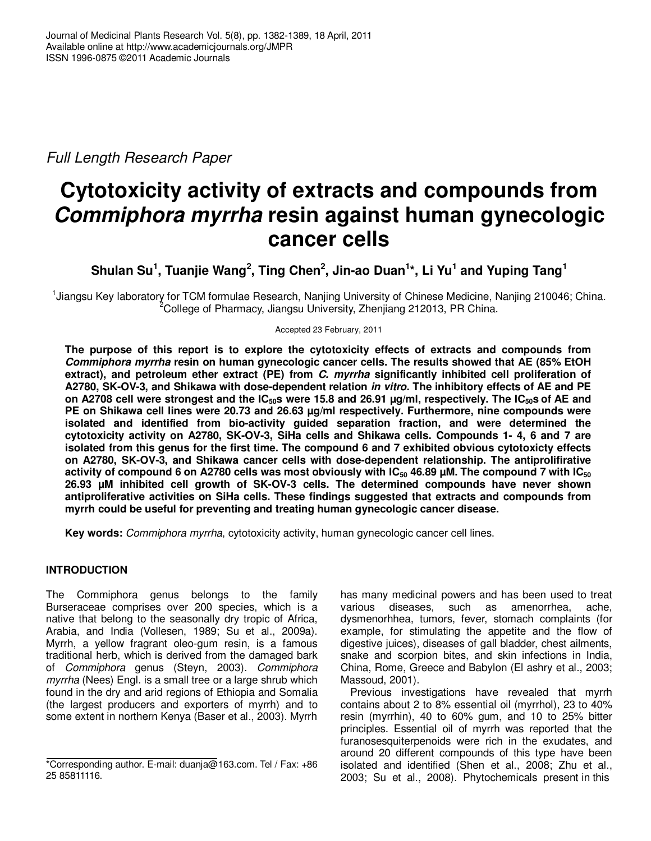Full Length Research Paper

# **Cytotoxicity activity of extracts and compounds from Commiphora myrrha resin against human gynecologic cancer cells**

**Shulan Su<sup>1</sup> , Tuanjie Wang<sup>2</sup> , Ting Chen<sup>2</sup> , Jin-ao Duan<sup>1</sup> \*, Li Yu<sup>1</sup> and Yuping Tang<sup>1</sup>**

<sup>1</sup>Jiangsu Key laboratory for TCM formulae Research, Nanjing University of Chinese Medicine, Nanjing 210046; China. <sup>2</sup>College of Pharmacy, Jiangsu University, Zhenjiang 212013, PR China.

Accepted 23 February, 2011

**The purpose of this report is to explore the cytotoxicity effects of extracts and compounds from Commiphora myrrha resin on human gynecologic cancer cells. The results showed that AE (85% EtOH extract), and petroleum ether extract (PE) from C. myrrha significantly inhibited cell proliferation of A2780, SK-OV-3, and Shikawa with dose-dependent relation in vitro. The inhibitory effects of AE and PE on A2708 cell were strongest and the IC50s were 15.8 and 26.91 µg/ml, respectively. The IC50s of AE and PE on Shikawa cell lines were 20.73 and 26.63 µg/ml respectively. Furthermore, nine compounds were isolated and identified from bio-activity guided separation fraction, and were determined the cytotoxicity activity on A2780, SK-OV-3, SiHa cells and Shikawa cells. Compounds 1- 4, 6 and 7 are isolated from this genus for the first time. The compound 6 and 7 exhibited obvious cytotoxicty effects on A2780, SK-OV-3, and Shikawa cancer cells with dose-dependent relationship. The antiprolifirative activity of compound 6 on A2780 cells was most obviously with IC50 46.89 µM. The compound 7 with IC<sup>50</sup> 26.93 µM inhibited cell growth of SK-OV-3 cells. The determined compounds have never shown antiproliferative activities on SiHa cells. These findings suggested that extracts and compounds from myrrh could be useful for preventing and treating human gynecologic cancer disease.** 

**Key words:** Commiphora myrrha, cytotoxicity activity, human gynecologic cancer cell lines.

# **INTRODUCTION**

The Commiphora genus belongs to the family Burseraceae comprises over 200 species, which is a native that belong to the seasonally dry tropic of Africa, Arabia, and India (Vollesen, 1989; Su et al., 2009a). Myrrh, a yellow fragrant oleo-gum resin, is a famous traditional herb, which is derived from the damaged bark of Commiphora genus (Steyn, 2003). Commiphora myrrha (Nees) Engl. is a small tree or a large shrub which found in the dry and arid regions of Ethiopia and Somalia (the largest producers and exporters of myrrh) and to some extent in northern Kenya (Baser et al., 2003). Myrrh

has many medicinal powers and has been used to treat various diseases, such as amenorrhea, ache, dysmenorhhea, tumors, fever, stomach complaints (for example, for stimulating the appetite and the flow of digestive juices), diseases of gall bladder, chest ailments, snake and scorpion bites, and skin infections in India, China, Rome, Greece and Babylon (El ashry et al., 2003; Massoud, 2001).

Previous investigations have revealed that myrrh contains about 2 to 8% essential oil (myrrhol), 23 to 40% resin (myrrhin), 40 to 60% gum, and 10 to 25% bitter principles. Essential oil of myrrh was reported that the furanosesquiterpenoids were rich in the exudates, and around 20 different compounds of this type have been isolated and identified (Shen et al., 2008; Zhu et al., 2003; Su et al., 2008). Phytochemicals present in this

<sup>\*</sup>Corresponding author. E-mail: duanja@163.com. Tel / Fax: +86 25 85811116.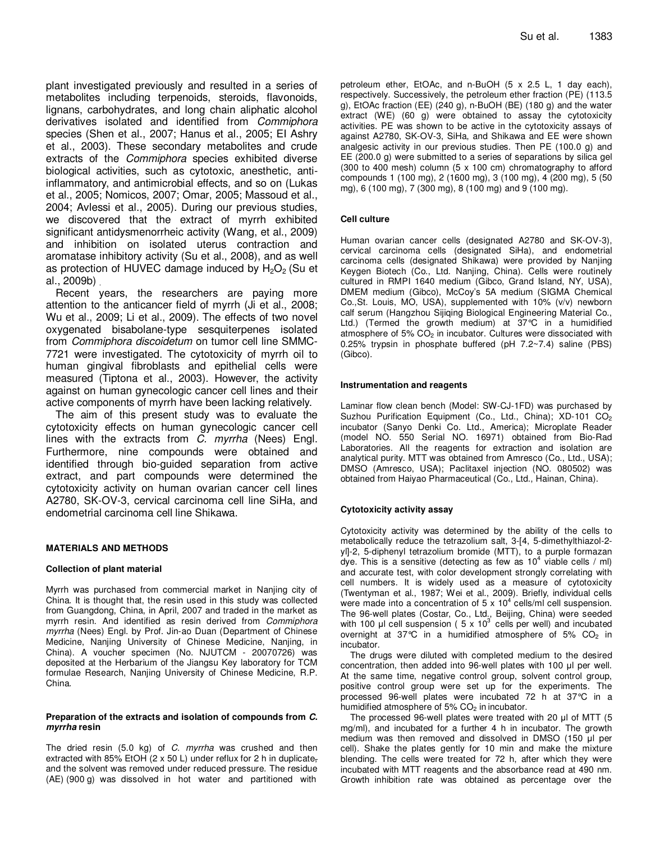plant investigated previously and resulted in a series of metabolites including terpenoids, steroids, flavonoids, lignans, carbohydrates, and long chain aliphatic alcohol derivatives isolated and identified from Commiphora species (Shen et al., 2007; Hanus et al., 2005; EI Ashry et al., 2003). These secondary metabolites and crude extracts of the Commiphora species exhibited diverse biological activities, such as cytotoxic, anesthetic, antiinflammatory, and antimicrobial effects, and so on (Lukas et al., 2005; Nomicos, 2007; Omar, 2005; Massoud et al., 2004; Avlessi et al., 2005). During our previous studies, we discovered that the extract of myrrh exhibited significant antidysmenorrheic activity (Wang, et al., 2009) and inhibition on isolated uterus contraction and aromatase inhibitory activity (Su et al., 2008), and as well as protection of HUVEC damage induced by  $H_2O_2$  (Su et al., 2009b) .

Recent years, the researchers are paying more attention to the anticancer field of myrrh (Ji et al., 2008; Wu et al., 2009; Li et al., 2009). The effects of two novel oxygenated bisabolane-type sesquiterpenes isolated from Commiphora discoidetum on tumor cell line SMMC-7721 were investigated. The cytotoxicity of myrrh oil to human gingival fibroblasts and epithelial cells were measured (Tiptona et al., 2003). However, the activity against on human gynecologic cancer cell lines and their active components of myrrh have been lacking relatively.

The aim of this present study was to evaluate the cytotoxicity effects on human gynecologic cancer cell lines with the extracts from C. myrrha (Nees) Engl. Furthermore, nine compounds were obtained and identified through bio-guided separation from active extract, and part compounds were determined the cytotoxicity activity on human ovarian cancer cell lines A2780, SK-OV-3, cervical carcinoma cell line SiHa, and endometrial carcinoma cell line Shikawa.

## **MATERIALS AND METHODS**

## **Collection of plant material**

Myrrh was purchased from commercial market in Nanjing city of China. It is thought that, the resin used in this study was collected from Guangdong, China, in April, 2007 and traded in the market as myrrh resin. And identified as resin derived from *Commiphora* myrrha (Nees) Engl. by Prof. Jin-ao Duan (Department of Chinese Medicine, Nanjing University of Chinese Medicine, Nanjing, in China). A voucher specimen (No. NJUTCM - 20070726) was deposited at the Herbarium of the Jiangsu Key laboratory for TCM formulae Research, Nanjing University of Chinese Medicine, R.P. China.

#### **Preparation of the extracts and isolation of compounds from C. myrrha resin**

The dried resin  $(5.0 \text{ kg})$  of C. myrrha was crushed and then extracted with 85% EtOH (2 x 50 L) under reflux for 2 h in duplicate, and the solvent was removed under reduced pressure. The residue (AE) (900 g) was dissolved in hot water and partitioned with

petroleum ether, EtOAc, and n-BuOH (5 x 2.5 L, 1 day each), respectively. Successively, the petroleum ether fraction (PE) (113.5 g), EtOAc fraction (EE) (240 g), n-BuOH (BE) (180 g) and the water extract (WE) (60 g) were obtained to assay the cytotoxicity activities. PE was shown to be active in the cytotoxicity assays of against A2780, SK-OV-3, SiHa, and Shikawa and EE were shown analgesic activity in our previous studies. Then PE (100.0 g) and EE (200.0 g) were submitted to a series of separations by silica gel (300 to 400 mesh) column (5 x 100 cm) chromatography to afford compounds 1 (100 mg), 2 (1600 mg), 3 (100 mg), 4 (200 mg), 5 (50 mg), 6 (100 mg), 7 (300 mg), 8 (100 mg) and 9 (100 mg).

## **Cell culture**

Human ovarian cancer cells (designated A2780 and SK-OV-3), cervical carcinoma cells (designated SiHa), and endometrial carcinoma cells (designated Shikawa) were provided by Nanjing Keygen Biotech (Co., Ltd. Nanjing, China). Cells were routinely cultured in RMPI 1640 medium (Gibco, Grand Island, NY, USA), DMEM medium (Gibco), McCoy's 5A medium (SIGMA Chemical Co.,St. Louis, MO, USA), supplemented with 10% (v/v) newborn calf serum (Hangzhou Sijiqing Biological Engineering Material Co., Ltd.) (Termed the growth medium) at 37°C in a humidified atmosphere of  $5\%$  CO<sub>2</sub> in incubator. Cultures were dissociated with 0.25% trypsin in phosphate buffered (pH 7.2~7.4) saline (PBS) (Gibco).

## **Instrumentation and reagents**

Laminar flow clean bench (Model: SW-CJ-1FD) was purchased by Suzhou Purification Equipment (Co., Ltd., China);  $XD-101$   $CO<sub>2</sub>$ incubator (Sanyo Denki Co. Ltd., America); Microplate Reader (model NO. 550 Serial NO. 16971) obtained from Bio-Rad Laboratories. All the reagents for extraction and isolation are analytical purity. MTT was obtained from Amresco (Co., Ltd., USA); DMSO (Amresco, USA); Paclitaxel injection (NO. 080502) was obtained from Haiyao Pharmaceutical (Co., Ltd., Hainan, China).

## **Cytotoxicity activity assay**

Cytotoxicity activity was determined by the ability of the cells to metabolically reduce the tetrazolium salt, 3-[4, 5-dimethylthiazol-2 yl]-2, 5-diphenyl tetrazolium bromide (MTT), to a purple formazan dye. This is a sensitive (detecting as few as  $10^4$  viable cells / ml) and accurate test, with color development strongly correlating with cell numbers. It is widely used as a measure of cytotoxicity (Twentyman et al., 1987; Wei et al., 2009). Briefly, individual cells were made into a concentration of  $5 \times 10^4$  cells/ml cell suspension. The 96-well plates (Costar, Co., Ltd., Beijing, China) were seeded with 100 µl cell suspension (  $5 \times 10^3$  cells per well) and incubated overnight at 37 $\degree$ C in a humidified atmosphere of 5% CO<sub>2</sub> in incubator.

The drugs were diluted with completed medium to the desired concentration, then added into 96-well plates with 100 µl per well. At the same time, negative control group, solvent control group, positive control group were set up for the experiments. The processed 96-well plates were incubated 72 h at 37°C in a humidified atmosphere of  $5\%$  CO<sub>2</sub> in incubator.

The processed 96-well plates were treated with 20 µl of MTT (5 mg/ml), and incubated for a further 4 h in incubator. The growth medium was then removed and dissolved in DMSO (150 µl per cell). Shake the plates gently for 10 min and make the mixture blending. The cells were treated for 72 h, after which they were incubated with MTT reagents and the absorbance read at 490 nm. Growth inhibition rate was obtained as percentage over the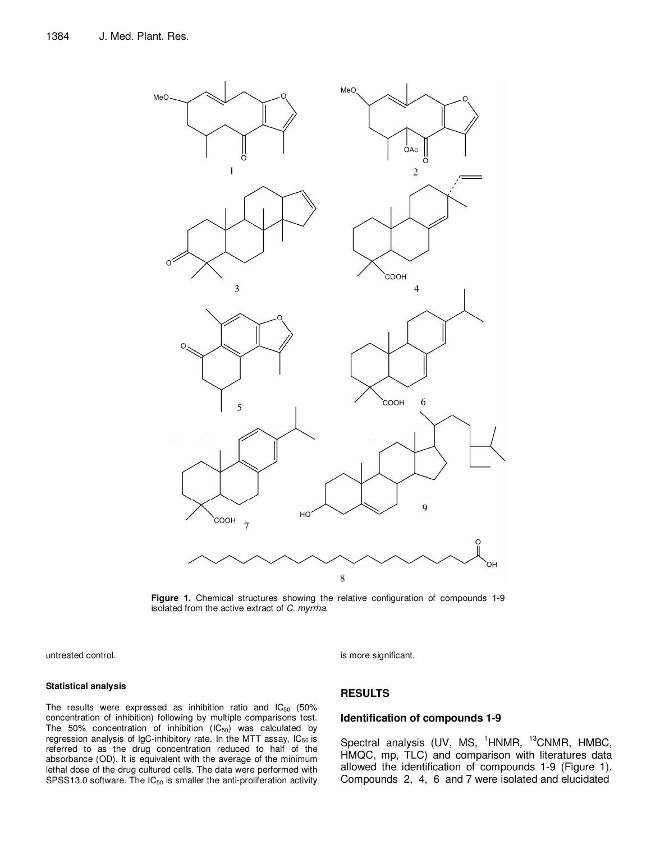

**Figure 1.** Chemical structures showing the relative configuration of compounds 1-9 isolated from the active extract of C. myrrha.

untreated control.

#### **Statistical analysis**

The results were expressed as inhibition ratio and  $IC_{50}$  (50%) concentration of inhibition) following by multiple comparisons test. The 50% concentration of inhibition  $(IC_{50})$  was calculated by regression analysis of IgC-inhibitory rate. In the MTT assay,  $IC_{50}$  is referred to as the drug concentration reduced to half of the absorbance (OD). It is equivalent with the average of the minimum lethal dose of the drug cultured cells. The data were performed with SPSS13.0 software. The  $IC_{50}$  is smaller the anti-proliferation activity is more significant.

# **RESULTS**

## **Identification of compounds 1-9**

Spectral analysis (UV, MS,  $1$ HNMR,  $13$ CNMR, HMBC, HMQC, mp, TLC) and comparison with literatures data allowed the identification of compounds 1-9 (Figure 1). Compounds 2, 4, 6 and 7 were isolated and elucidated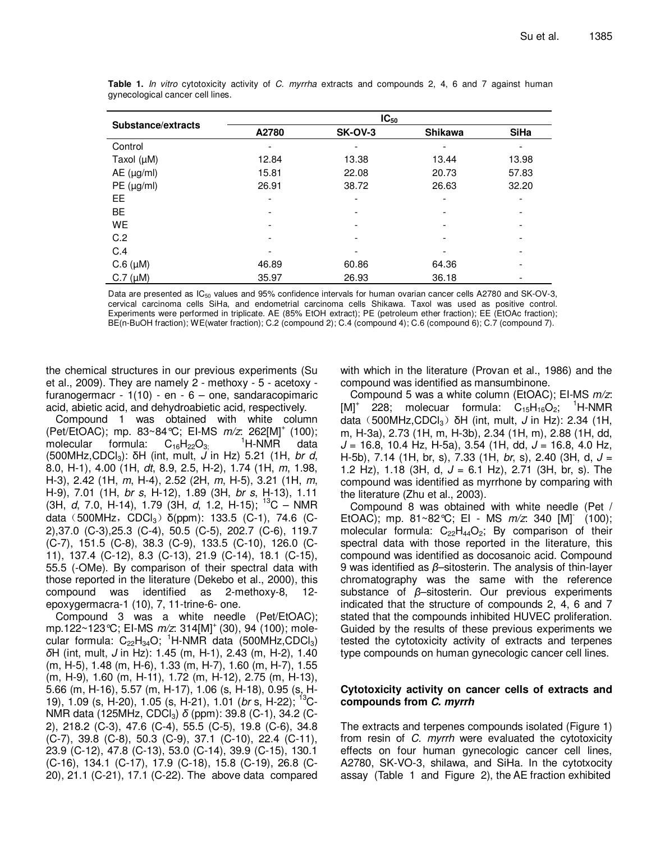| Substance/extracts | $IC_{50}$ |                |                |             |
|--------------------|-----------|----------------|----------------|-------------|
|                    | A2780     | <b>SK-OV-3</b> | <b>Shikawa</b> | <b>SiHa</b> |
| Control            |           |                |                |             |
| Taxol $(\mu M)$    | 12.84     | 13.38          | 13.44          | 13.98       |
| $AE$ ( $\mu$ g/ml) | 15.81     | 22.08          | 20.73          | 57.83       |
| PE (µg/ml)         | 26.91     | 38.72          | 26.63          | 32.20       |
| EE.                |           |                |                |             |
| <b>BE</b>          |           |                |                | -           |
| WE                 |           |                |                |             |
| C.2                |           |                |                |             |
| C.4                |           |                |                | ۰           |
| $C.6$ ( $\mu$ M)   | 46.89     | 60.86          | 64.36          |             |
| $C.7$ ( $\mu$ M)   | 35.97     | 26.93          | 36.18          |             |

**Table 1.** In vitro cytotoxicity activity of C. myrrha extracts and compounds 2, 4, 6 and 7 against human gynecological cancer cell lines.

Data are presented as  $IC_{50}$  values and 95% confidence intervals for human ovarian cancer cells A2780 and SK-OV-3, cervical carcinoma cells SiHa, and endometrial carcinoma cells Shikawa. Taxol was used as positive control. Experiments were performed in triplicate. AE (85% EtOH extract); PE (petroleum ether fraction); EE (EtOAc fraction); BE(n-BuOH fraction); WE(water fraction); C.2 (compound 2); C.4 (compound 4); C.6 (compound 6); C.7 (compound 7).

the chemical structures in our previous experiments (Su et al., 2009). They are namely 2 - methoxy - 5 - acetoxy furanogermacr -  $1(10)$  - en - 6 – one, sandaracopimaric acid, abietic acid, and dehydroabietic acid, respectively.

Compound 1 was obtained with white column (Pet/EtOAC); mp. 83~84 °C; EI-MS  $m/z$ : 262[M]<sup>+</sup> (100); molecular formula:  $C_{16}H_{22}O_{3}$ <sup>1</sup>H-NMR data (500MHz, CDCl<sub>3</sub>):  $\delta H$  (int, mult, J in Hz) 5.21 (1H, br d, 8.0, H-1), 4.00 (1H, dt, 8.9, 2.5, H-2), 1.74 (1H, m, 1.98, H-3), 2.42 (1H, m, H-4), 2.52 (2H, m, H-5), 3.21 (1H, m, H-9), 7.01 (1H, br s, H-12), 1.89 (3H, br s, H-13), 1.11 (3H,  $d$ , 7.0, H-14), 1.79 (3H,  $d$ , 1.2, H-15); <sup>13</sup>C – NMR data (500MHz, CDCl<sub>3</sub>)  $\delta$ (ppm): 133.5 (C-1), 74.6 (C-2),37.0 (C-3),25.3 (C-4), 50.5 (C-5), 202.7 (C-6), 119.7 (C-7), 151.5 (C-8), 38.3 (C-9), 133.5 (C-10), 126.0 (C-11), 137.4 (C-12), 8.3 (C-13), 21.9 (C-14), 18.1 (C-15), 55.5 (-OMe). By comparison of their spectral data with those reported in the literature (Dekebo et al., 2000), this compound was identified as 2-methoxy-8, 12 epoxygermacra-1 (10), 7, 11-trine-6- one.

Compound 3 was a white needle (Pet/EtOAC); mp.122~123°C; EI-MS  $m/z$ : 314[M]<sup>+</sup> (30), 94 (100); molecular formula:  $C_{22}H_{34}O$ ; <sup>1</sup>H-NMR data (500MHz,CDCl<sub>3</sub>) *δ*H (int, mult, J in Hz): 1.45 (m, H-1), 2.43 (m, H-2), 1.40 (m, H-5), 1.48 (m, H-6), 1.33 (m, H-7), 1.60 (m, H-7), 1.55 (m, H-9), 1.60 (m, H-11), 1.72 (m, H-12), 2.75 (m, H-13), 5.66 (m, H-16), 5.57 (m, H-17), 1.06 (s, H-18), 0.95 (s, H-19), 1.09 (s, H-20), 1.05 (s, H-21), 1.01 (br s, H-22); <sup>13</sup>C-NMR data (125MHz, CDCl3) *δ* (ppm): 39.8 (C-1), 34.2 (C-2), 218.2 (C-3), 47.6 (C-4), 55.5 (C-5), 19.8 (C-6), 34.8 (C-7), 39.8 (C-8), 50.3 (C-9), 37.1 (C-10), 22.4 (C-11), 23.9 (C-12), 47.8 (C-13), 53.0 (C-14), 39.9 (C-15), 130.1 (C-16), 134.1 (C-17), 17.9 (C-18), 15.8 (C-19), 26.8 (C-20), 21.1 (C-21), 17.1 (C-22). The above data compared with which in the literature (Provan et al., 1986) and the compound was identified as mansumbinone.

Compound 5 was a white column (EtOAC); EI-MS  $m/z$ :  $[M]^+$  228; molecuar formula:  $C_{15}H_{16}O_2$ ; <sup>1</sup>H-NMR data (500MHz,CDCl<sub>3</sub>) δH (int, mult, J in Hz): 2.34 (1H, m, H-3a), 2.73 (1H, m, H-3b), 2.34 (1H, m), 2.88 (1H, dd,  $J = 16.8$ , 10.4 Hz, H-5a), 3.54 (1H, dd,  $J = 16.8$ , 4.0 Hz, H-5b), 7.14 (1H, br, s), 7.33 (1H, br, s), 2.40 (3H, d,  $J =$ 1.2 Hz), 1.18 (3H, d,  $J = 6.1$  Hz), 2.71 (3H, br, s). The compound was identified as myrrhone by comparing with the literature (Zhu et al., 2003).

Compound 8 was obtained with white needle (Pet / EtOAC); mp. 81~82°C; EI - MS  $m/z$ : 340 [M]<sup>-</sup> (100); molecular formula:  $C_{22}H_{44}O_2$ ; By comparison of their spectral data with those reported in the literature, this compound was identified as docosanoic acid. Compound 9 was identified as *β*–sitosterin. The analysis of thin-layer chromatography was the same with the reference substance of *β*–sitosterin. Our previous experiments indicated that the structure of compounds 2, 4, 6 and 7 stated that the compounds inhibited HUVEC proliferation. Guided by the results of these previous experiments we tested the cytotoxicity activity of extracts and terpenes type compounds on human gynecologic cancer cell lines.

## **Cytotoxicity activity on cancer cells of extracts and compounds from C. myrrh**

The extracts and terpenes compounds isolated (Figure 1) from resin of C. myrrh were evaluated the cytotoxicity effects on four human gynecologic cancer cell lines, A2780, SK-VO-3, shilawa, and SiHa. In the cytotxocity assay (Table 1 and Figure 2), the AE fraction exhibited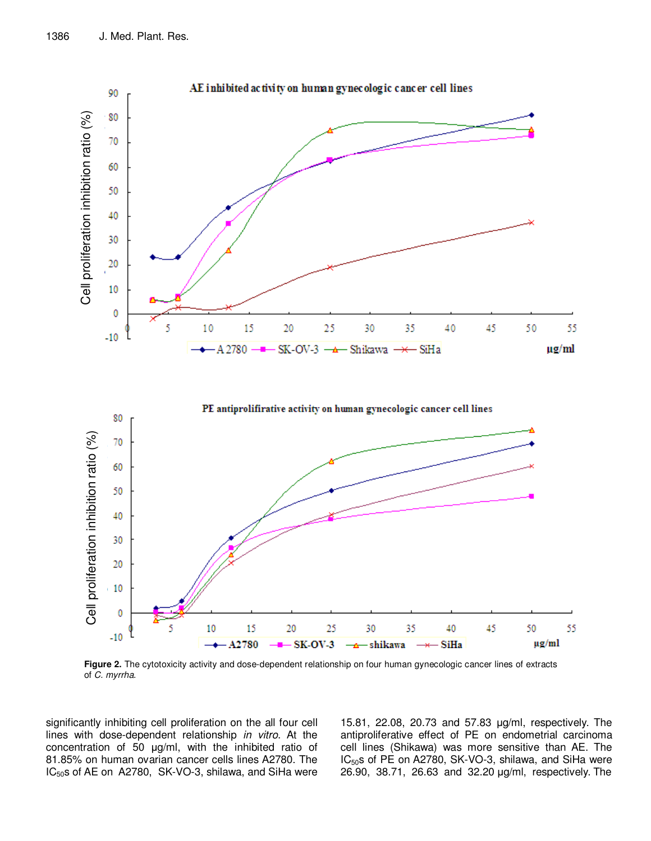

**Figure 2.** The cytotoxicity activity and dose-dependent relationship on four human gynecologic cancer lines of extracts of C. myrrha.

significantly inhibiting cell proliferation on the all four cell lines with dose-dependent relationship in vitro. At the concentration of 50 µg/ml, with the inhibited ratio of 81.85% on human ovarian cancer cells lines A2780. The IC<sub>50</sub>s of AE on A2780, SK-VO-3, shilawa, and SiHa were

15.81, 22.08, 20.73 and 57.83 µg/ml, respectively. The antiproliferative effect of PE on endometrial carcinoma cell lines (Shikawa) was more sensitive than AE. The IC<sub>50</sub>s of PE on A2780, SK-VO-3, shilawa, and SiHa were 26.90, 38.71, 26.63 and 32.20 µg/ml, respectively. The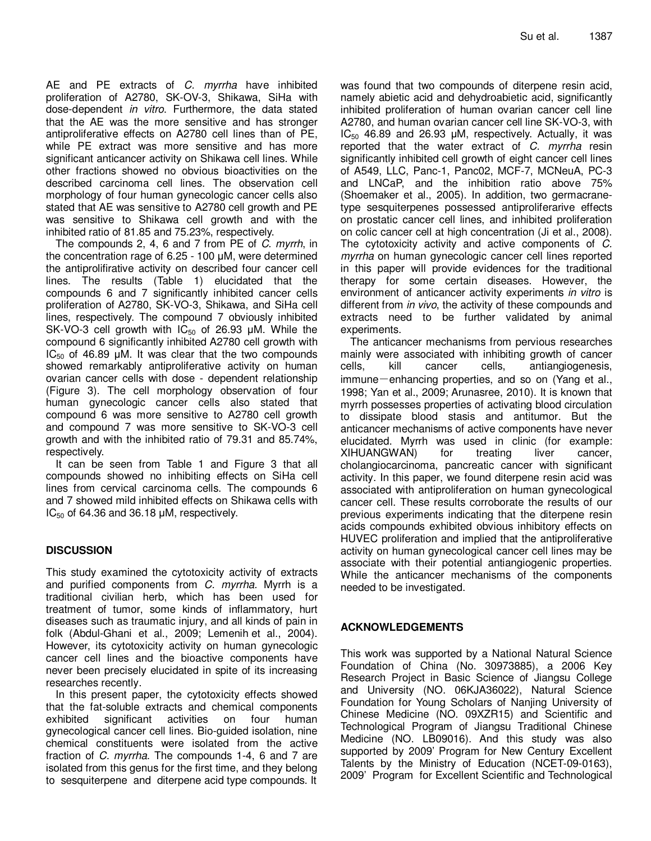AE and PE extracts of C. myrrha have inhibited proliferation of A2780, SK-OV-3, Shikawa, SiHa with dose-dependent in vitro. Furthermore, the data stated that the AE was the more sensitive and has stronger antiproliferative effects on A2780 cell lines than of PE, while PE extract was more sensitive and has more significant anticancer activity on Shikawa cell lines. While other fractions showed no obvious bioactivities on the described carcinoma cell lines. The observation cell morphology of four human gynecologic cancer cells also stated that AE was sensitive to A2780 cell growth and PE was sensitive to Shikawa cell growth and with the inhibited ratio of 81.85 and 75.23%, respectively.

The compounds 2, 4, 6 and 7 from PE of C. myrrh, in the concentration rage of 6.25 - 100 µM, were determined the antiprolifirative activity on described four cancer cell lines. The results (Table 1) elucidated that the compounds 6 and 7 significantly inhibited cancer cells proliferation of A2780, SK-VO-3, Shikawa, and SiHa cell lines, respectively. The compound 7 obviously inhibited SK-VO-3 cell growth with  $IC_{50}$  of 26.93  $µM$ . While the compound 6 significantly inhibited A2780 cell growth with  $IC_{50}$  of 46.89 µM. It was clear that the two compounds showed remarkably antiproliferative activity on human ovarian cancer cells with dose - dependent relationship (Figure 3). The cell morphology observation of four human gynecologic cancer cells also stated that compound 6 was more sensitive to A2780 cell growth and compound 7 was more sensitive to SK-VO-3 cell growth and with the inhibited ratio of 79.31 and 85.74%, respectively.

It can be seen from Table 1 and Figure 3 that all compounds showed no inhibiting effects on SiHa cell lines from cervical carcinoma cells. The compounds 6 and 7 showed mild inhibited effects on Shikawa cells with  $IC_{50}$  of 64.36 and 36.18  $µM$ , respectively.

# **DISCUSSION**

This study examined the cytotoxicity activity of extracts and purified components from *C. myrrha*. Myrrh is a traditional civilian herb, which has been used for treatment of tumor, some kinds of inflammatory, hurt diseases such as traumatic injury, and all kinds of pain in folk (Abdul-Ghani et al., 2009; Lemenih et al., 2004). However, its cytotoxicity activity on human gynecologic cancer cell lines and the bioactive components have never been precisely elucidated in spite of its increasing researches recently.

In this present paper, the cytotoxicity effects showed that the fat-soluble extracts and chemical components exhibited significant activities on four human gynecological cancer cell lines. Bio-guided isolation, nine chemical constituents were isolated from the active fraction of C. myrrha. The compounds 1-4, 6 and 7 are isolated from this genus for the first time, and they belong to sesquiterpene and diterpene acid type compounds. It was found that two compounds of diterpene resin acid, namely abietic acid and dehydroabietic acid, significantly inhibited proliferation of human ovarian cancer cell line A2780, and human ovarian cancer cell line SK-VO-3, with  $IC_{50}$  46.89 and 26.93  $µM$ , respectively. Actually, it was reported that the water extract of  $C$ . myrrha resin significantly inhibited cell growth of eight cancer cell lines of A549, LLC, Panc-1, Panc02, MCF-7, MCNeuA, PC-3 and LNCaP, and the inhibition ratio above 75% (Shoemaker et al., 2005). In addition, two germacranetype sesquiterpenes possessed antiproliferarive effects on prostatic cancer cell lines, and inhibited proliferation on colic cancer cell at high concentration (Ji et al., 2008). The cytotoxicity activity and active components of C. myrrha on human gynecologic cancer cell lines reported in this paper will provide evidences for the traditional therapy for some certain diseases. However, the environment of anticancer activity experiments in vitro is different from *in vivo*, the activity of these compounds and extracts need to be further validated by animal experiments.

The anticancer mechanisms from pervious researches mainly were associated with inhibiting growth of cancer cells, kill cancer cells, antiangiogenesis, immune-enhancing properties, and so on (Yang et al., 1998; Yan et al., 2009; Arunasree, 2010). It is known that myrrh possesses properties of activating blood circulation to dissipate blood stasis and antitumor. But the anticancer mechanisms of active components have never elucidated. Myrrh was used in clinic (for example: XIHUANGWAN) for treating liver cancer, cholangiocarcinoma, pancreatic cancer with significant activity. In this paper, we found diterpene resin acid was associated with antiproliferation on human gynecological cancer cell. These results corroborate the results of our previous experiments indicating that the diterpene resin acids compounds exhibited obvious inhibitory effects on HUVEC proliferation and implied that the antiproliferative activity on human gynecological cancer cell lines may be associate with their potential antiangiogenic properties. While the anticancer mechanisms of the components needed to be investigated.

# **ACKNOWLEDGEMENTS**

This work was supported by a National Natural Science Foundation of China (No. 30973885), a 2006 Key Research Project in Basic Science of Jiangsu College and University (NO. 06KJA36022), Natural Science Foundation for Young Scholars of Nanjing University of Chinese Medicine (NO. 09XZR15) and Scientific and Technological Program of Jiangsu Traditional Chinese Medicine (NO. LB09016). And this study was also supported by 2009' Program for New Century Excellent Talents by the Ministry of Education (NCET-09-0163), 2009' Program for Excellent Scientific and Technological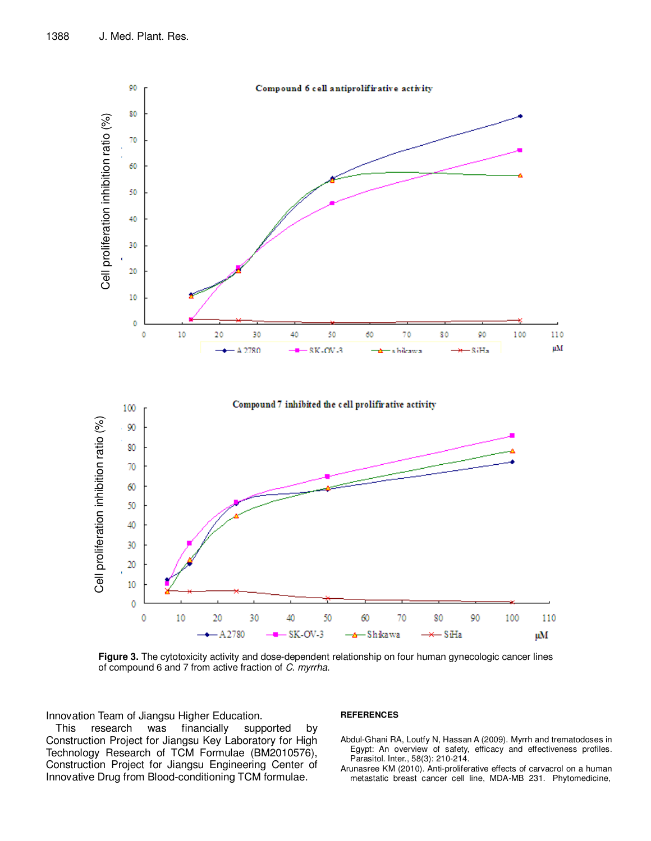

**Figure 3.** The cytotoxicity activity and dose-dependent relationship on four human gynecologic cancer lines of compound 6 and 7 from active fraction of C. myrrha.

Innovation Team of Jiangsu Higher Education.

This research was financially supported by Construction Project for Jiangsu Key Laboratory for High Technology Research of TCM Formulae (BM2010576), Construction Project for Jiangsu Engineering Center of Innovative Drug from Blood-conditioning TCM formulae.

#### **REFERENCES**

- Abdul-Ghani RA, Loutfy N, Hassan A (2009). Myrrh and trematodoses in Egypt: An overview of safety, efficacy and effectiveness profiles. Parasitol. Inter., 58(3): 210-214.
- Arunasree KM (2010). Anti-proliferative effects of carvacrol on a human metastatic breast cancer cell line, MDA-MB 231. Phytomedicine,